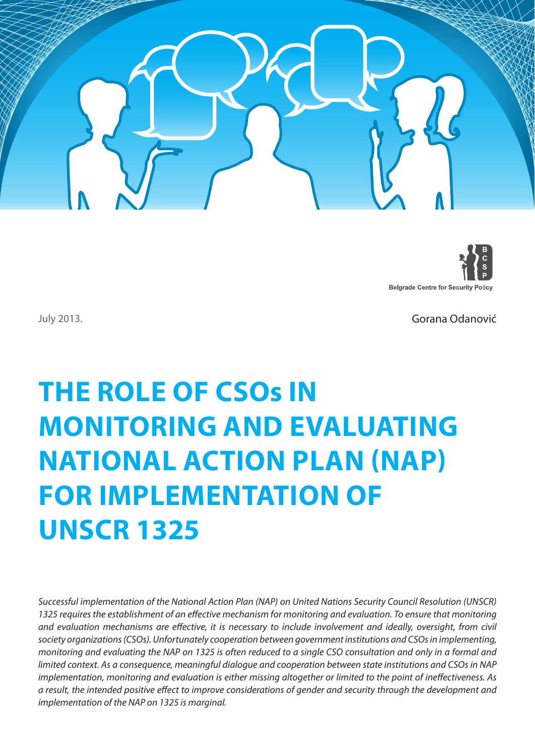



July 2013.

Gorana Odanović

# **The Role of CSOs in Monitoring and Evaluating National Action Plan (NAP) for Implementation of UNSCR 1325**

*Successful implementation of the National Action Plan (NAP) on United Nations Security Council Resolution (UNSCR)*  1325 requires the establishment of an effective mechanism for monitoring and evaluation. To ensure that monitoring and evaluation mechanisms are effective, it is necessary to include involvement and ideally, oversight, from civil *society organizations (CSOs). Unfortunately cooperation between government institutions and CSOs in implementing, monitoring and evaluating the NAP on 1325 is often reduced to a single CSO consultation and only in a formal and limited context. As a consequence, meaningful dialogue and cooperation between state institutions and CSOs in NAP implementation, monitoring and evaluation is either missing altogether or limited to the point of ineffectiveness. As a result, the intended positive effect to improve considerations of gender and security through the development and implementation of the NAP on 1325 is marginal.*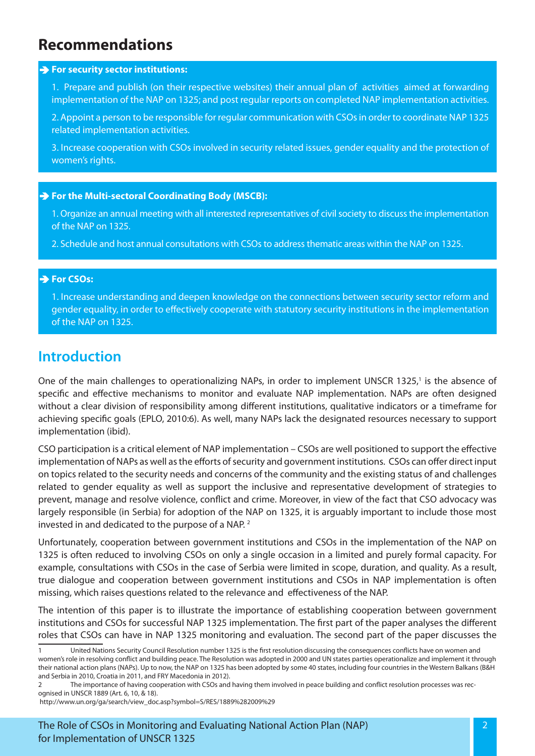# **Recommendations**

#### **For security sector institutions:**

1. Prepare and publish (on their respective websites) their annual plan of activities aimed at forwarding implementation of the NAP on 1325; and post regular reports on completed NAP implementation activities.

2. Appoint a person to be responsible for regular communication with CSOs in order to coordinate NAP 1325 related implementation activities.

3. Increase cooperation with CSOs involved in security related issues, gender equality and the protection of women's rights.

#### **For the Multi-sectoral Coordinating Body (MSCB):**

1. Organize an annual meeting with all interested representatives of civil society to discuss the implementation of the NAP on 1325.

2. Schedule and host annual consultations with CSOs to address thematic areas within the NAP on 1325.

#### **For CSOs:**

1. Increase understanding and deepen knowledge on the connections between security sector reform and gender equality, in order to effectively cooperate with statutory security institutions in the implementation of the NAP on 1325.

## **Introduction**

One of the main challenges to operationalizing NAPs, in order to implement UNSCR 1325,<sup>1</sup> is the absence of specific and effective mechanisms to monitor and evaluate NAP implementation. NAPs are often designed without a clear division of responsibility among different institutions, qualitative indicators or a timeframe for achieving specific goals (EPLO, 2010:6). As well, many NAPs lack the designated resources necessary to support implementation (ibid).

CSO participation is a critical element of NAP implementation – CSOs are well positioned to support the effective implementation of NAPs as well as the efforts of security and government institutions. CSOs can offer direct input on topics related to the security needs and concerns of the community and the existing status of and challenges related to gender equality as well as support the inclusive and representative development of strategies to prevent, manage and resolve violence, conflict and crime. Moreover, in view of the fact that CSO advocacy was largely responsible (in Serbia) for adoption of the NAP on 1325, it is arguably important to include those most invested in and dedicated to the purpose of a NAP. 2

Unfortunately, cooperation between government institutions and CSOs in the implementation of the NAP on 1325 is often reduced to involving CSOs on only a single occasion in a limited and purely formal capacity. For example, consultations with CSOs in the case of Serbia were limited in scope, duration, and quality. As a result, true dialogue and cooperation between government institutions and CSOs in NAP implementation is often missing, which raises questions related to the relevance and effectiveness of the NAP.

The intention of this paper is to illustrate the importance of establishing cooperation between government institutions and CSOs for successful NAP 1325 implementation. The first part of the paper analyses the different roles that CSOs can have in NAP 1325 monitoring and evaluation. The second part of the paper discusses the

<sup>1</sup> United Nations Security Council Resolution number 1325 is the first resolution discussing the consequences conflicts have on women and women's role in resolving conflict and building peace. The Resolution was adopted in 2000 and UN states parties operationalize and implement it through their national action plans (NAPs). Up to now, the NAP on 1325 has been adopted by some 40 states, including four countries in the Western Balkans (B&H and Serbia in 2010, Croatia in 2011, and FRY Macedonia in 2012).

<sup>2</sup> The importance of having cooperation with CSOs and having them involved in peace building and conflict resolution processes was recognised in UNSCR 1889 (Art. 6, 10, & 18).

http://www.un.org/ga/search/view\_doc.asp?symbol=S/RES/1889%282009%29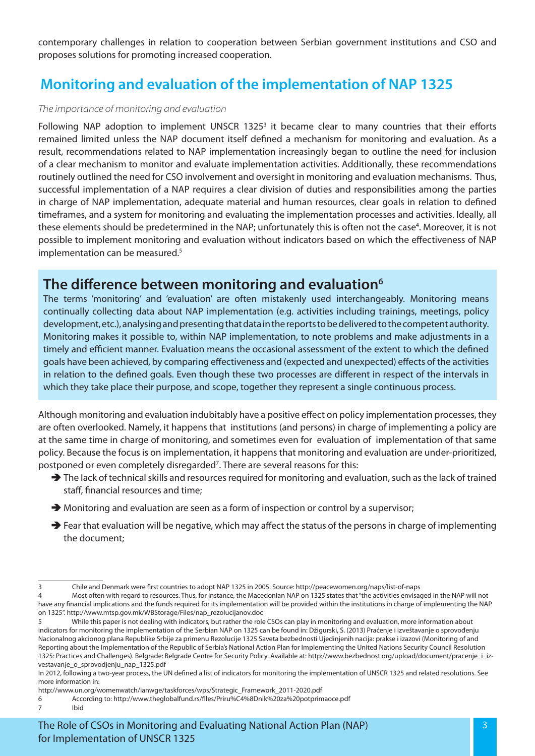contemporary challenges in relation to cooperation between Serbian government institutions and CSO and proposes solutions for promoting increased cooperation.

# **Monitoring and evaluation of the implementation of NAP 1325**

#### *The importance of monitoring and evaluation*

Following NAP adoption to implement UNSCR 1325 $3$  it became clear to many countries that their efforts remained limited unless the NAP document itself defined a mechanism for monitoring and evaluation. As a result, recommendations related to NAP implementation increasingly began to outline the need for inclusion of a clear mechanism to monitor and evaluate implementation activities. Additionally, these recommendations routinely outlined the need for CSO involvement and oversight in monitoring and evaluation mechanisms. Thus, successful implementation of a NAP requires a clear division of duties and responsibilities among the parties in charge of NAP implementation, adequate material and human resources, clear goals in relation to defined timeframes, and a system for monitoring and evaluating the implementation processes and activities. Ideally, all these elements should be predetermined in the NAP; unfortunately this is often not the case<sup>4</sup>. Moreover, it is not possible to implement monitoring and evaluation without indicators based on which the effectiveness of NAP implementation can be measured.<sup>5</sup>

## **The difference between monitoring and evaluation6**

The terms 'monitoring' and 'evaluation' are often mistakenly used interchangeably. Monitoring means continually collecting data about NAP implementation (e.g. activities including trainings, meetings, policy development, etc.), analysing and presenting that data in the reports to be delivered to the competent authority. Monitoring makes it possible to, within NAP implementation, to note problems and make adjustments in a timely and efficient manner. Evaluation means the occasional assessment of the extent to which the defined goals have been achieved, by comparing effectiveness and (expected and unexpected) effects of the activities in relation to the defined goals. Even though these two processes are different in respect of the intervals in which they take place their purpose, and scope, together they represent a single continuous process.

Although monitoring and evaluation indubitably have a positive effect on policy implementation processes, they are often overlooked. Namely, it happens that institutions (and persons) in charge of implementing a policy are at the same time in charge of monitoring, and sometimes even for evaluation of implementation of that same policy. Because the focus is on implementation, it happens that monitoring and evaluation are under-prioritized, postponed or even completely disregarded<sup>7</sup>. There are several reasons for this:

- $\rightarrow$  The lack of technical skills and resources required for monitoring and evaluation, such as the lack of trained staff, financial resources and time;
- $\rightarrow$  Monitoring and evaluation are seen as a form of inspection or control by a supervisor;
- $\rightarrow$  Fear that evaluation will be negative, which may affect the status of the persons in charge of implementing the document;

<sup>3</sup> Chile and Denmark were first countries to adopt NAP 1325 in 2005. Source: http://peacewomen.org/naps/list-of-naps

<sup>4</sup> Most often with regard to resources. Thus, for instance, the Macedonian NAP on 1325 states that "the activities envisaged in the NAP will not have any financial implications and the funds required for its implementation will be provided within the institutions in charge of implementing the NAP on 1325". http://www.mtsp.gov.mk/WBStorage/Files/nap\_rezolucijanov.doc

<sup>5</sup> While this paper is not dealing with indicators, but rather the role CSOs can play in monitoring and evaluation, more information about indicators for monitoring the implementation of the Serbian NAP on 1325 can be found in: Džigurski, S. (2013) Praćenje i izveštavanje o sprovođenju Nacionalnog akcionog plana Republike Srbije za primenu Rezolucije 1325 Saveta bezbednosti Ujedinjenih nacija: prakse i izazovi (Monitoring of and Reporting about the Implementation of the Republic of Serbia's National Action Plan for Implementing the United Nations Security Council Resolution 1325: Practices and Challenges). Belgrade: Belgrade Centre for Security Policy. Available at: http://www.bezbednost.org/upload/document/pracenje\_i\_izvestavanje\_o\_sprovodjenju\_nap\_1325.pdf

In 2012, following a two-year process, the UN defined a list of indicators for monitoring the implementation of UNSCR 1325 and related resolutions. See more information in:

http://www.un.org/womenwatch/ianwge/taskforces/wps/Strategic\_Framework\_2011-2020.pdf

<sup>6</sup> According to: http://www.theglobalfund.rs/files/Priru%C4%8Dnik%20za%20potprimaoce.pdf 7 Ibid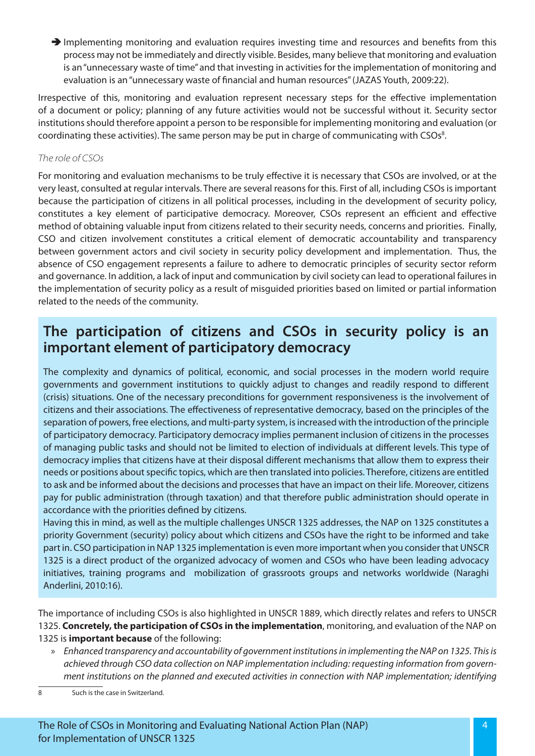$\rightarrow$  Implementing monitoring and evaluation requires investing time and resources and benefits from this process may not be immediately and directly visible. Besides, many believe that monitoring and evaluation is an "unnecessary waste of time" and that investing in activities for the implementation of monitoring and evaluation is an "unnecessary waste of financial and human resources" (JAZAS Youth, 2009:22).

Irrespective of this, monitoring and evaluation represent necessary steps for the effective implementation of a document or policy; planning of any future activities would not be successful without it. Security sector institutions should therefore appoint a person to be responsible for implementing monitoring and evaluation (or coordinating these activities). The same person may be put in charge of communicating with CSOs<sup>8</sup>.

## *The role of CSOs*

For monitoring and evaluation mechanisms to be truly effective it is necessary that CSOs are involved, or at the very least, consulted at regular intervals. There are several reasons for this. First of all, including CSOs is important because the participation of citizens in all political processes, including in the development of security policy, constitutes a key element of participative democracy. Moreover, CSOs represent an efficient and effective method of obtaining valuable input from citizens related to their security needs, concerns and priorities. Finally, CSO and citizen involvement constitutes a critical element of democratic accountability and transparency between government actors and civil society in security policy development and implementation. Thus, the absence of CSO engagement represents a failure to adhere to democratic principles of security sector reform and governance. In addition, a lack of input and communication by civil society can lead to operational failures in the implementation of security policy as a result of misguided priorities based on limited or partial information related to the needs of the community.

## **The participation of citizens and CSOs in security policy is an important element of participatory democracy**

The complexity and dynamics of political, economic, and social processes in the modern world require governments and government institutions to quickly adjust to changes and readily respond to different (crisis) situations. One of the necessary preconditions for government responsiveness is the involvement of citizens and their associations. The effectiveness of representative democracy, based on the principles of the separation of powers, free elections, and multi-party system, is increased with the introduction of the principle of participatory democracy. Participatory democracy implies permanent inclusion of citizens in the processes of managing public tasks and should not be limited to election of individuals at different levels. This type of democracy implies that citizens have at their disposal different mechanisms that allow them to express their needs or positions about specific topics, which are then translated into policies. Therefore, citizens are entitled to ask and be informed about the decisions and processes that have an impact on their life. Moreover, citizens pay for public administration (through taxation) and that therefore public administration should operate in accordance with the priorities defined by citizens.

Having this in mind, as well as the multiple challenges UNSCR 1325 addresses, the NAP on 1325 constitutes a priority Government (security) policy about which citizens and CSOs have the right to be informed and take part in. CSO participation in NAP 1325 implementation is even more important when you consider that UNSCR 1325 is a direct product of the organized advocacy of women and CSOs who have been leading advocacy initiatives, training programs and mobilization of grassroots groups and networks worldwide (Naraghi Anderlini, 2010:16).

The importance of including CSOs is also highlighted in UNSCR 1889, which directly relates and refers to UNSCR 1325. **Concretely, the participation of CSOs in the implementation**, monitoring, and evaluation of the NAP on 1325 is **important because** of the following:

- » *Enhanced transparency and accountability of government institutions in implementing the NAP on 1325. This is achieved through CSO data collection on NAP implementation including: requesting information from government institutions on the planned and executed activities in connection with NAP implementation; identifying*
- 8 Such is the case in Switzerland.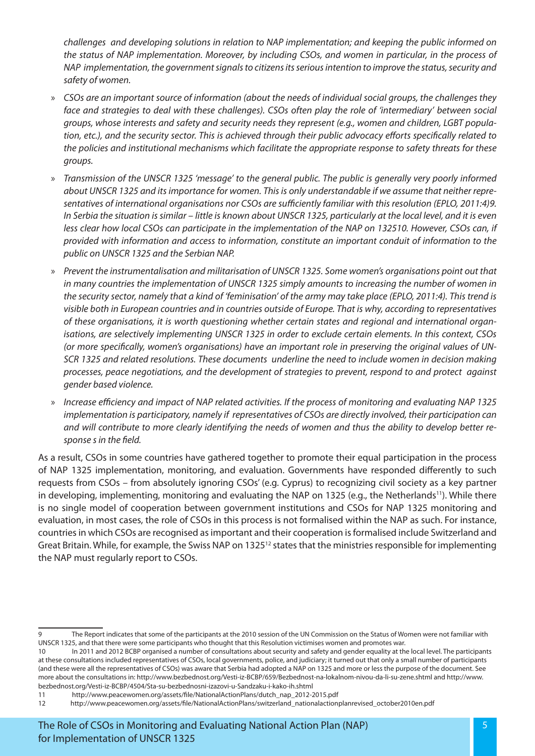*challenges and developing solutions in relation to NAP implementation; and keeping the public informed on the status of NAP implementation. Moreover, by including CSOs, and women in particular, in the process of NAP implementation, the government signals to citizens its serious intention to improve the status, security and safety of women.* 

- » *CSOs are an important source of information (about the needs of individual social groups, the challenges they face and strategies to deal with these challenges). CSOs often play the role of 'intermediary' between social groups, whose interests and safety and security needs they represent (e.g., women and children, LGBT population, etc.), and the security sector. This is achieved through their public advocacy efforts specifically related to the policies and institutional mechanisms which facilitate the appropriate response to safety threats for these groups.*
- » *Transmission of the UNSCR 1325 'message' to the general public. The public is generally very poorly informed about UNSCR 1325 and its importance for women. This is only understandable if we assume that neither representatives of international organisations nor CSOs are sufficiently familiar with this resolution (EPLO, 2011:4)9. In Serbia the situation is similar – little is known about UNSCR 1325, particularly at the local level, and it is even less clear how local CSOs can participate in the implementation of the NAP on 132510. However, CSOs can, if provided with information and access to information, constitute an important conduit of information to the public on UNSCR 1325 and the Serbian NAP.*
- » *Prevent the instrumentalisation and militarisation of UNSCR 1325. Some women's organisations point out that in many countries the implementation of UNSCR 1325 simply amounts to increasing the number of women in the security sector, namely that a kind of 'feminisation' of the army may take place (EPLO, 2011:4). This trend is visible both in European countries and in countries outside of Europe. That is why, according to representatives of these organisations, it is worth questioning whether certain states and regional and international organisations, are selectively implementing UNSCR 1325 in order to exclude certain elements. In this context, CSOs (or more specifically, women's organisations) have an important role in preserving the original values of UN-SCR 1325 and related resolutions. These documents underline the need to include women in decision making processes, peace negotiations, and the development of strategies to prevent, respond to and protect against gender based violence.*
- » *Increase efficiency and impact of NAP related activities. If the process of monitoring and evaluating NAP 1325 implementation is participatory, namely if representatives of CSOs are directly involved, their participation can and will contribute to more clearly identifying the needs of women and thus the ability to develop better response s in the field.*

As a result, CSOs in some countries have gathered together to promote their equal participation in the process of NAP 1325 implementation, monitoring, and evaluation. Governments have responded differently to such requests from CSOs – from absolutely ignoring CSOs' (e.g. Cyprus) to recognizing civil society as a key partner in developing, implementing, monitoring and evaluating the NAP on 1325 (e.g., the Netherlands<sup>11</sup>). While there is no single model of cooperation between government institutions and CSOs for NAP 1325 monitoring and evaluation, in most cases, the role of CSOs in this process is not formalised within the NAP as such. For instance, countries in which CSOs are recognised as important and their cooperation is formalised include Switzerland and Great Britain. While, for example, the Swiss NAP on 132512 states that the ministries responsible for implementing the NAP must regularly report to CSOs.

<sup>9</sup> The Report indicates that some of the participants at the 2010 session of the UN Commission on the Status of Women were not familiar with UNSCR 1325, and that there were some participants who thought that this Resolution victimises women and promotes war.

<sup>10</sup> In 2011 and 2012 BCBP organised a number of consultations about security and safety and gender equality at the local level. The participants at these consultations included representatives of CSOs, local governments, police, and judiciary; it turned out that only a small number of participants (and these were all the representatives of CSOs) was aware that Serbia had adopted a NAP on 1325 and more or less the purpose of the document. See more about the consultations in: http://www.bezbednost.org/Vesti-iz-BCBP/659/Bezbednost-na-lokalnom-nivou-da-li-su-zene.shtml and http://www. bezbednost.org/Vesti-iz-BCBP/4504/Sta-su-bezbednosni-izazovi-u-Sandzaku-i-kako-ih.shtml

<sup>11</sup> http://www.peacewomen.org/assets/file/NationalActionPlans/dutch\_nap\_2012-2015.pdf

<sup>12</sup> http://www.peacewomen.org/assets/file/NationalActionPlans/switzerland\_nationalactionplanrevised\_october2010en.pdf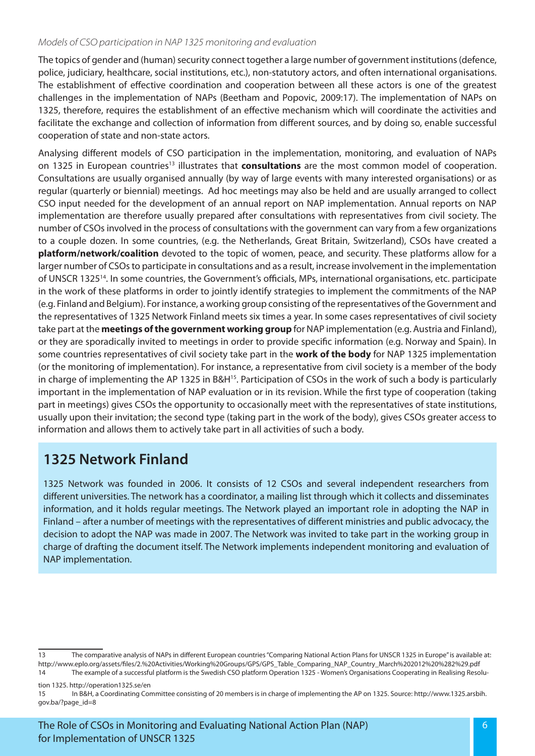#### *Models of CSO participation in NAP 1325 monitoring and evaluation*

The topics of gender and (human) security connect together a large number of government institutions (defence, police, judiciary, healthcare, social institutions, etc.), non-statutory actors, and often international organisations. The establishment of effective coordination and cooperation between all these actors is one of the greatest challenges in the implementation of NAPs (Beetham and Popovic, 2009:17). The implementation of NAPs on 1325, therefore, requires the establishment of an effective mechanism which will coordinate the activities and facilitate the exchange and collection of information from different sources, and by doing so, enable successful cooperation of state and non-state actors.

Analysing different models of CSO participation in the implementation, monitoring, and evaluation of NAPs on 1325 in European countries<sup>13</sup> illustrates that **consultations** are the most common model of cooperation. Consultations are usually organised annually (by way of large events with many interested organisations) or as regular (quarterly or biennial) meetings. Ad hoc meetings may also be held and are usually arranged to collect CSO input needed for the development of an annual report on NAP implementation. Annual reports on NAP implementation are therefore usually prepared after consultations with representatives from civil society. The number of CSOs involved in the process of consultations with the government can vary from a few organizations to a couple dozen. In some countries, (e.g. the Netherlands, Great Britain, Switzerland), CSOs have created a **platform/network/coalition** devoted to the topic of women, peace, and security. These platforms allow for a larger number of CSOs to participate in consultations and as a result, increase involvement in the implementation of UNSCR 132514. In some countries, the Government's officials, MPs, international organisations, etc. participate in the work of these platforms in order to jointly identify strategies to implement the commitments of the NAP (e.g. Finland and Belgium). For instance, a working group consisting of the representatives of the Government and the representatives of 1325 Network Finland meets six times a year. In some cases representatives of civil society take part at the **meetings of the government working group** for NAP implementation (e.g. Austria and Finland), or they are sporadically invited to meetings in order to provide specific information (e.g. Norway and Spain). In some countries representatives of civil society take part in the **work of the body** for NAP 1325 implementation (or the monitoring of implementation). For instance, a representative from civil society is a member of the body in charge of implementing the AP 1325 in B&H<sup>15</sup>. Participation of CSOs in the work of such a body is particularly important in the implementation of NAP evaluation or in its revision. While the first type of cooperation (taking part in meetings) gives CSOs the opportunity to occasionally meet with the representatives of state institutions, usually upon their invitation; the second type (taking part in the work of the body), gives CSOs greater access to information and allows them to actively take part in all activities of such a body.

## **1325 Network Finland**

1325 Network was founded in 2006. It consists of 12 CSOs and several independent researchers from different universities. The network has a coordinator, a mailing list through which it collects and disseminates information, and it holds regular meetings. The Network played an important role in adopting the NAP in Finland – after a number of meetings with the representatives of different ministries and public advocacy, the decision to adopt the NAP was made in 2007. The Network was invited to take part in the working group in charge of drafting the document itself. The Network implements independent monitoring and evaluation of NAP implementation.

tion 1325. http://operation1325.se/en

<sup>13</sup> The comparative analysis of NAPs in different European countries "Comparing National Action Plans for UNSCR 1325 in Europe" is available at: http://www.eplo.org/assets/files/2.%20Activities/Working%20Groups/GPS/GPS\_Table\_Comparing\_NAP\_Country\_March%202012%20%282%29.pdf 14 The example of a successful platform is the Swedish CSO platform Operation 1325 - Women's Organisations Cooperating in Realising Resolu-

<sup>15</sup> In B&H, a Coordinating Committee consisting of 20 members is in charge of implementing the AP on 1325. Source: http://www.1325.arsbih. gov.ba/?page\_id=8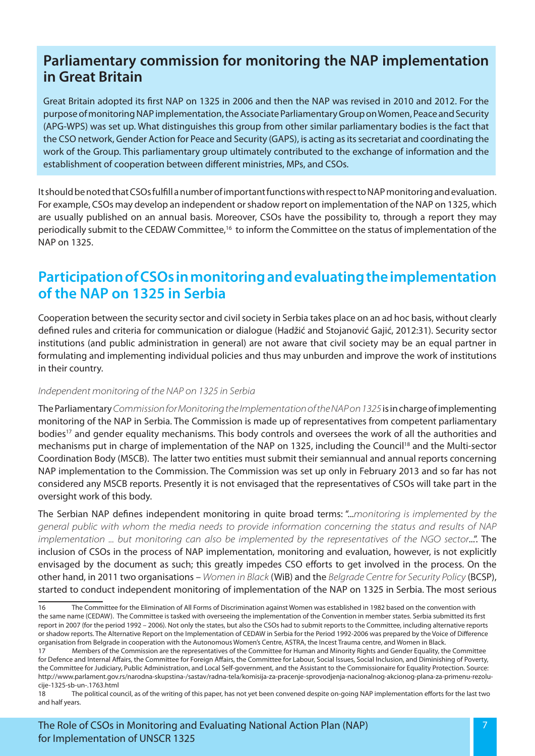## **Parliamentary commission for monitoring the NAP implementation in Great Britain**

Great Britain adopted its first NAP on 1325 in 2006 and then the NAP was revised in 2010 and 2012. For the purpose of monitoring NAP implementation, the Associate Parliamentary Group on Women, Peace and Security (APG-WPS) was set up. What distinguishes this group from other similar parliamentary bodies is the fact that the CSO network, Gender Action for Peace and Security (GAPS), is acting as its secretariat and coordinating the work of the Group. This parliamentary group ultimately contributed to the exchange of information and the establishment of cooperation between different ministries, MPs, and CSOs.

It should be noted that CSOs fulfill a number of important functions with respect to NAP monitoring and evaluation. For example, CSOs may develop an independent or shadow report on implementation of the NAP on 1325, which are usually published on an annual basis. Moreover, CSOs have the possibility to, through a report they may periodically submit to the CEDAW Committee,16 to inform the Committee on the status of implementation of the NAP on 1325.

## **Participation of CSOs in monitoring and evaluating the implementation of the NAP on 1325 in Serbia**

Cooperation between the security sector and civil society in Serbia takes place on an ad hoc basis, without clearly defined rules and criteria for communication or dialogue (Hadžić and Stojanović Gajić, 2012:31). Security sector institutions (and public administration in general) are not aware that civil society may be an equal partner in formulating and implementing individual policies and thus may unburden and improve the work of institutions in their country.

#### *Independent monitoring of the NAP on 1325 in Serbia*

The Parliamentary *Commission for Monitoring the Implementation of the NAP on 1325* is in charge of implementing monitoring of the NAP in Serbia. The Commission is made up of representatives from competent parliamentary bodies<sup>17</sup> and gender equality mechanisms. This body controls and oversees the work of all the authorities and mechanisms put in charge of implementation of the NAP on 1325, including the Council<sup>18</sup> and the Multi-sector Coordination Body (MSCB). The latter two entities must submit their semiannual and annual reports concerning NAP implementation to the Commission. The Commission was set up only in February 2013 and so far has not considered any MSCB reports. Presently it is not envisaged that the representatives of CSOs will take part in the oversight work of this body.

The Serbian NAP defines independent monitoring in quite broad terms: "...*monitoring is implemented by the general public with whom the media needs to provide information concerning the status and results of NAP implementation ... but monitoring can also be implemented by the representatives of the NGO sector...*". The inclusion of CSOs in the process of NAP implementation, monitoring and evaluation, however, is not explicitly envisaged by the document as such; this greatly impedes CSO efforts to get involved in the process. On the other hand, in 2011 two organisations – *Women in Black* (WiB) and the *Belgrade Centre for Security Policy* (BCSP), started to conduct independent monitoring of implementation of the NAP on 1325 in Serbia. The most serious

<sup>16</sup> The Committee for the Elimination of All Forms of Discrimination against Women was established in 1982 based on the convention with the same name (CEDAW). The Committee is tasked with overseeing the implementation of the Convention in member states. Serbia submitted its first report in 2007 (for the period 1992 – 2006). Not only the states, but also the CSOs had to submit reports to the Committee, including alternative reports or shadow reports. The Alternative Report on the Implementation of CEDAW in Serbia for the Period 1992-2006 was prepared by the Voice of Difference organisation from Belgrade in cooperation with the Autonomous Women's Centre, ASTRA, the Incest Trauma centre, and Women in Black.

<sup>17</sup> Members of the Commission are the representatives of the Committee for Human and Minority Rights and Gender Equality, the Committee for Defence and Internal Affairs, the Committee for Foreign Affairs, the Committee for Labour, Social Issues, Social Inclusion, and Diminishing of Poverty, the Committee for Judiciary, Public Administration, and Local Self-government, and the Assistant to the Commissionaire for Equality Protection. Source: http://www.parlament.gov.rs/narodna-skupstina-/sastav/radna-tela/komisija-za-pracenje-sprovodjenja-nacionalnog-akcionog-plana-za-primenu-rezolucije-1325-sb-un-.1763.html

<sup>18</sup> The political council, as of the writing of this paper, has not yet been convened despite on-going NAP implementation efforts for the last two and half years.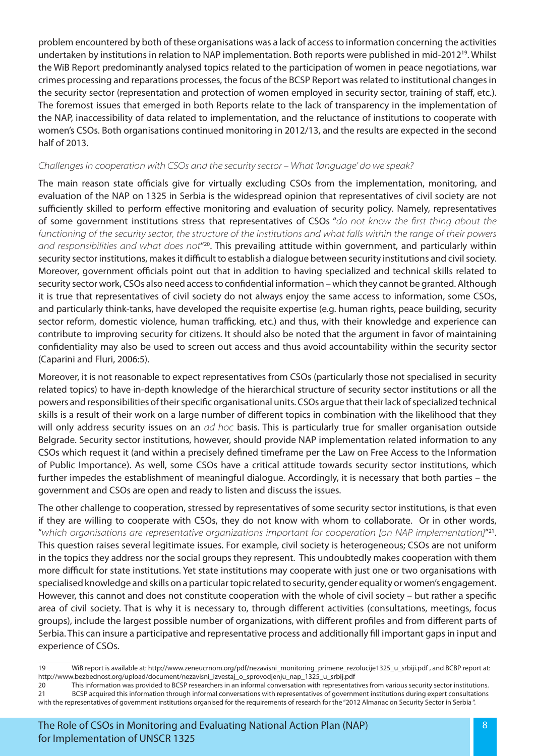problem encountered by both of these organisations was a lack of access to information concerning the activities undertaken by institutions in relation to NAP implementation. Both reports were published in mid-201219. Whilst the WiB Report predominantly analysed topics related to the participation of women in peace negotiations, war crimes processing and reparations processes, the focus of the BCSP Report was related to institutional changes in the security sector (representation and protection of women employed in security sector, training of staff, etc.). The foremost issues that emerged in both Reports relate to the lack of transparency in the implementation of the NAP, inaccessibility of data related to implementation, and the reluctance of institutions to cooperate with women's CSOs. Both organisations continued monitoring in 2012/13, and the results are expected in the second half of 2013.

### *Challenges in cooperation with CSOs and the security sector – What 'language' do we speak?*

The main reason state officials give for virtually excluding CSOs from the implementation, monitoring, and evaluation of the NAP on 1325 in Serbia is the widespread opinion that representatives of civil society are not sufficiently skilled to perform effective monitoring and evaluation of security policy. Namely, representatives of some government institutions stress that representatives of CSOs "*do not know the first thing about the functioning of the security sector, the structure of the institutions and what falls within the range of their powers and responsibilities and what does not*"20. This prevailing attitude within government, and particularly within security sector institutions, makes it difficult to establish a dialogue between security institutions and civil society. Moreover, government officials point out that in addition to having specialized and technical skills related to security sector work, CSOs also need access to confidential information – which they cannot be granted. Although it is true that representatives of civil society do not always enjoy the same access to information, some CSOs, and particularly think-tanks, have developed the requisite expertise (e.g. human rights, peace building, security sector reform, domestic violence, human trafficking, etc.) and thus, with their knowledge and experience can contribute to improving security for citizens. It should also be noted that the argument in favor of maintaining confidentiality may also be used to screen out access and thus avoid accountability within the security sector (Caparini and Fluri, 2006:5).

Moreover, it is not reasonable to expect representatives from CSOs (particularly those not specialised in security related topics) to have in-depth knowledge of the hierarchical structure of security sector institutions or all the powers and responsibilities of their specific organisational units. CSOs argue that their lack of specialized technical skills is a result of their work on a large number of different topics in combination with the likelihood that they will only address security issues on an *ad hoc* basis. This is particularly true for smaller organisation outside Belgrade. Security sector institutions, however, should provide NAP implementation related information to any CSOs which request it (and within a precisely defined timeframe per the Law on Free Access to the Information of Public Importance). As well, some CSOs have a critical attitude towards security sector institutions, which further impedes the establishment of meaningful dialogue. Accordingly, it is necessary that both parties – the government and CSOs are open and ready to listen and discuss the issues.

The other challenge to cooperation, stressed by representatives of some security sector institutions, is that even if they are willing to cooperate with CSOs, they do not know with whom to collaborate. Or in other words, "*which organisations are representative organizations important for cooperation [on NAP implementation]*"21. This question raises several legitimate issues. For example, civil society is heterogeneous; CSOs are not uniform in the topics they address nor the social groups they represent. This undoubtedly makes cooperation with them more difficult for state institutions. Yet state institutions may cooperate with just one or two organisations with specialised knowledge and skills on a particular topic related to security, gender equality or women's engagement. However, this cannot and does not constitute cooperation with the whole of civil society – but rather a specific area of civil society. That is why it is necessary to, through different activities (consultations, meetings, focus groups), include the largest possible number of organizations, with different profiles and from different parts of Serbia. This can insure a participative and representative process and additionally fill important gaps in input and experience of CSOs.

<sup>19</sup> WiB report is available at: http://www.zeneucrnom.org/pdf/nezavisni\_monitoring\_primene\_rezolucije1325\_u\_srbiji.pdf , and BCBP report at: http://www.bezbednost.org/upload/document/nezavisni\_izvestaj\_o\_sprovodjenju\_nap\_1325\_u\_srbij.pdf

<sup>20</sup> This information was provided to BCSP researchers in an informal conversation with representatives from various security sector institutions. 21 BCSP acquired this information through informal conversations with representatives of government institutions during expert consultations with the representatives of government institutions organised for the requirements of research for the "2012 Almanac on Security Sector in Serbia ".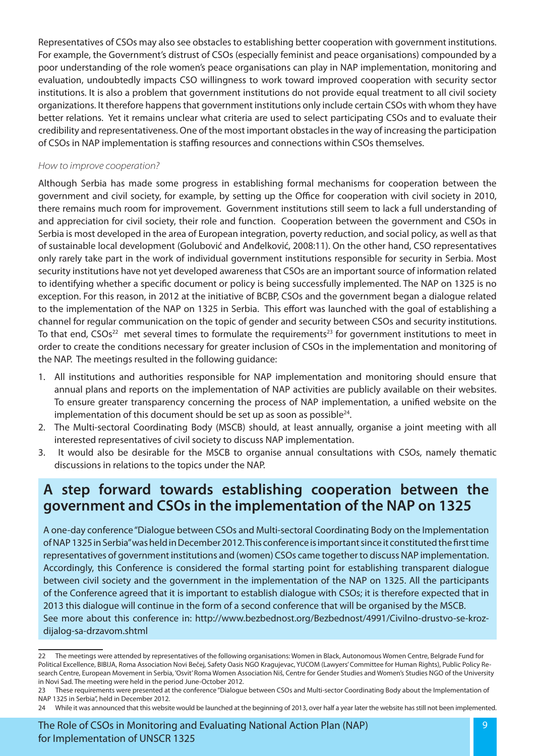Representatives of CSOs may also see obstacles to establishing better cooperation with government institutions. For example, the Government's distrust of CSOs (especially feminist and peace organisations) compounded by a poor understanding of the role women's peace organisations can play in NAP implementation, monitoring and evaluation, undoubtedly impacts CSO willingness to work toward improved cooperation with security sector institutions. It is also a problem that government institutions do not provide equal treatment to all civil society organizations. It therefore happens that government institutions only include certain CSOs with whom they have better relations. Yet it remains unclear what criteria are used to select participating CSOs and to evaluate their credibility and representativeness. One of the most important obstacles in the way of increasing the participation of CSOs in NAP implementation is staffing resources and connections within CSOs themselves.

#### *How to improve cooperation?*

Although Serbia has made some progress in establishing formal mechanisms for cooperation between the government and civil society, for example, by setting up the Office for cooperation with civil society in 2010, there remains much room for improvement. Government institutions still seem to lack a full understanding of and appreciation for civil society, their role and function. Cooperation between the government and CSOs in Serbia is most developed in the area of European integration, poverty reduction, and social policy, as well as that of sustainable local development (Golubović and Anđelković, 2008:11). On the other hand, CSO representatives only rarely take part in the work of individual government institutions responsible for security in Serbia. Most security institutions have not yet developed awareness that CSOs are an important source of information related to identifying whether a specific document or policy is being successfully implemented. The NAP on 1325 is no exception. For this reason, in 2012 at the initiative of BCBP, CSOs and the government began a dialogue related to the implementation of the NAP on 1325 in Serbia. This effort was launched with the goal of establishing a channel for regular communication on the topic of gender and security between CSOs and security institutions. To that end,  $CSOs<sup>22</sup>$  met several times to formulate the requirements<sup>23</sup> for government institutions to meet in order to create the conditions necessary for greater inclusion of CSOs in the implementation and monitoring of the NAP. The meetings resulted in the following guidance:

- 1. All institutions and authorities responsible for NAP implementation and monitoring should ensure that annual plans and reports on the implementation of NAP activities are publicly available on their websites. To ensure greater transparency concerning the process of NAP implementation, a unified website on the implementation of this document should be set up as soon as possible<sup>24</sup>.
- 2. The Multi-sectoral Coordinating Body (MSCB) should, at least annually, organise a joint meeting with all interested representatives of civil society to discuss NAP implementation.
- 3. It would also be desirable for the MSCB to organise annual consultations with CSOs, namely thematic discussions in relations to the topics under the NAP.

## **A step forward towards establishing cooperation between the government and CSOs in the implementation of the NAP on 1325**

A one-day conference "Dialogue between CSOs and Multi-sectoral Coordinating Body on the Implementation of NAP 1325 in Serbia" was held in December 2012. This conference is important since it constituted the first time representatives of government institutions and (women) CSOs came together to discuss NAP implementation. Accordingly, this Conference is considered the formal starting point for establishing transparent dialogue between civil society and the government in the implementation of the NAP on 1325. All the participants of the Conference agreed that it is important to establish dialogue with CSOs; it is therefore expected that in 2013 this dialogue will continue in the form of a second conference that will be organised by the MSCB. See more about this conference in: http://www.bezbednost.org/Bezbednost/4991/Civilno-drustvo-se-krozdijalog-sa-drzavom.shtml

24 While it was announced that this website would be launched at the beginning of 2013, over half a year later the website has still not been implemented.

<sup>22</sup> The meetings were attended by representatives of the following organisations: Women in Black, Autonomous Women Centre, Belgrade Fund for Political Excellence, BIBIJA, Roma Association Novi Bečej, Safety Oasis NGO Kragujevac, YUCOM (Lawyers' Committee for Human Rights), Public Policy Research Centre, European Movement in Serbia, 'Osvit' Roma Women Association Niš, Centre for Gender Studies and Women's Studies NGO of the University in Novi Sad. The meeting were held in the period June-October 2012.

<sup>23</sup> These requirements were presented at the conference "Dialogue between CSOs and Multi-sector Coordinating Body about the Implementation of NAP 1325 in Serbia", held in December 2012.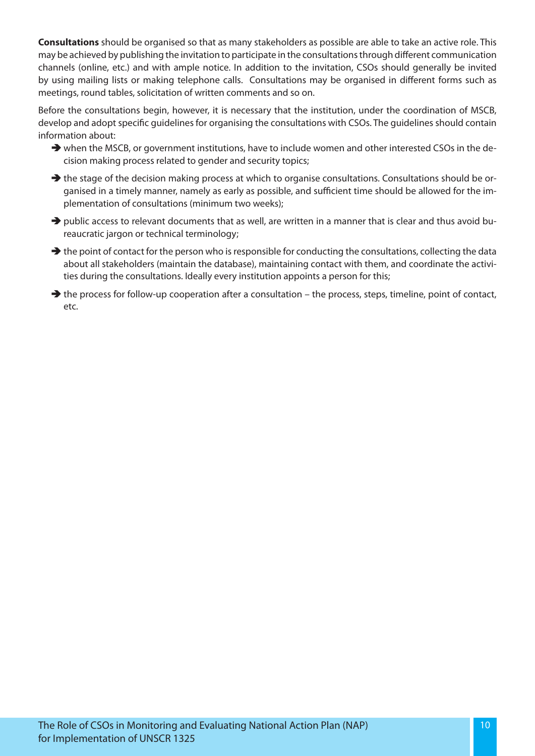**Consultations** should be organised so that as many stakeholders as possible are able to take an active role. This may be achieved by publishing the invitation to participate in the consultations through different communication channels (online, etc.) and with ample notice. In addition to the invitation, CSOs should generally be invited by using mailing lists or making telephone calls. Consultations may be organised in different forms such as meetings, round tables, solicitation of written comments and so on.

Before the consultations begin, however, it is necessary that the institution, under the coordination of MSCB, develop and adopt specific guidelines for organising the consultations with CSOs. The guidelines should contain information about:

- $\rightarrow$  when the MSCB, or government institutions, have to include women and other interested CSOs in the decision making process related to gender and security topics;
- $\rightarrow$  the stage of the decision making process at which to organise consultations. Consultations should be organised in a timely manner, namely as early as possible, and sufficient time should be allowed for the implementation of consultations (minimum two weeks);
- Äpublic access to relevant documents that as well, are written in a manner that is clear and thus avoid bureaucratic jargon or technical terminology;
- $\rightarrow$  the point of contact for the person who is responsible for conducting the consultations, collecting the data about all stakeholders (maintain the database), maintaining contact with them, and coordinate the activities during the consultations. Ideally every institution appoints a person for this;
- $\rightarrow$  the process for follow-up cooperation after a consultation the process, steps, timeline, point of contact, etc.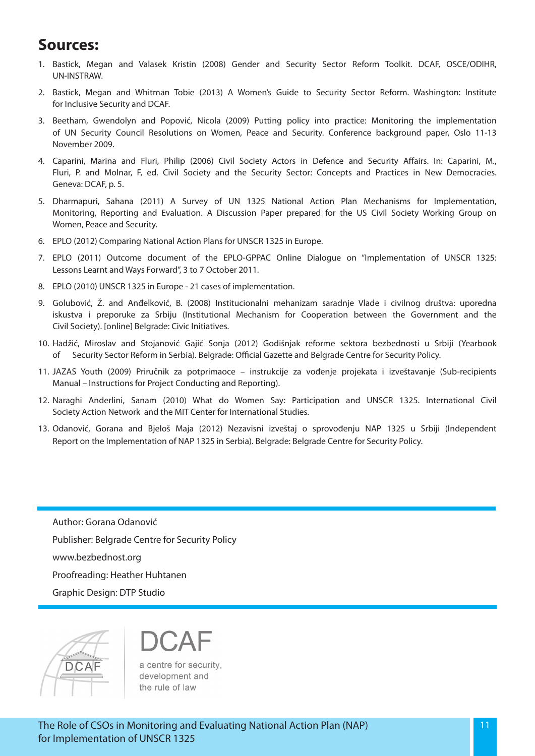# **Sources:**

- 1. Bastick, Megan and Valasek Kristin (2008) Gender and Security Sector Reform Toolkit. DCAF, OSCE/ODIHR, UN-INSTRAW.
- 2. Bastick, Megan and Whitman Tobie (2013) A Women's Guide to Security Sector Reform. Washington: Institute for Inclusive Security and DCAF.
- 3. Beetham, Gwendolyn and Popović, Nicola (2009) Putting policy into practice: Monitoring the implementation of UN Security Council Resolutions on Women, Peace and Security. Conference background paper, Oslo 11-13 November 2009.
- 4. Caparini, Marina and Fluri, Philip (2006) Civil Society Actors in Defence and Security Affairs. In: Caparini, M., Fluri, P. and Molnar, F, ed. Civil Society and the Security Sector: Concepts and Practices in New Democracies. Geneva: DCAF, p. 5.
- 5. Dharmapuri, Sahana (2011) A Survey of UN 1325 National Action Plan Mechanisms for Implementation, Monitoring, Reporting and Evaluation. A Discussion Paper prepared for the US Civil Society Working Group on Women, Peace and Security.
- 6. EPLO (2012) Comparing National Action Plans for UNSCR 1325 in Europe.
- 7. EPLO (2011) Outcome document of the EPLO-GPPAC Online Dialogue on "Implementation of UNSCR 1325: Lessons Learnt and Ways Forward", 3 to 7 October 2011.
- 8. EPLO (2010) UNSCR 1325 in Europe 21 cases of implementation.
- 9. Golubović, Ž. and Anđelković, B. (2008) Institucionalni mehanizam saradnje Vlade i civilnog društva: uporedna iskustva i preporuke za Srbiju (Institutional Mechanism for Cooperation between the Government and the Civil Society). [online] Belgrade: Civic Initiatives.
- 10. Hadžić, Miroslav and Stojanović Gajić Sonja (2012) Godišnjak reforme sektora bezbednosti u Srbiji (Yearbook Security Sector Reform in Serbia). Belgrade: Official Gazette and Belgrade Centre for Security Policy.
- 11. JAZAS Youth (2009) Priručnik za potprimaoce instrukcije za vođenje projekata i izveštavanje (Sub-recipients Manual – Instructions for Project Conducting and Reporting).
- 12. Naraghi Anderlini, Sanam (2010) What do Women Say: Participation and UNSCR 1325. International Civil Society Action Network and the MIT Center for International Studies.
- 13. Odanović, Gorana and Bjeloš Maja (2012) Nezavisni izveštaj o sprovođenju NAP 1325 u Srbiji (Independent Report on the Implementation of NAP 1325 in Serbia). Belgrade: Belgrade Centre for Security Policy.

Author: Gorana Odanović Publisher: Belgrade Centre for Security Policy www.bezbednost.org Proofreading: Heather Huhtanen Graphic Design: DTP Studio



a centre for security, development and the rule of law